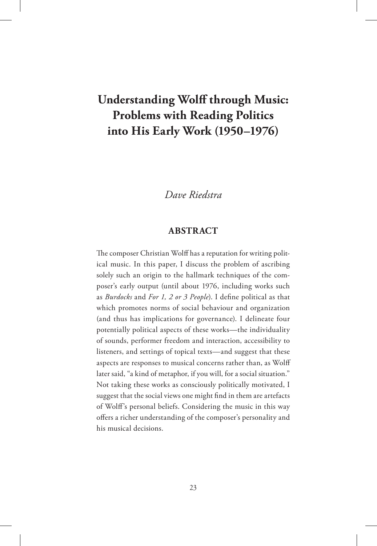# **Understanding Wolff through Music: Problems with Reading Politics into His Early Work (1950–1976)**

### *Dave Riedstra*

#### **ABSTRACT**

The composer Christian Wolff has a reputation for writing political music. In this paper, I discuss the problem of ascribing solely such an origin to the hallmark techniques of the composer's early output (until about 1976, including works such as *Burdocks* and *For 1, 2 or 3 People*). I define political as that which promotes norms of social behaviour and organization (and thus has implications for governance). I delineate four potentially political aspects of these works—the individuality of sounds, performer freedom and interaction, accessibility to listeners, and settings of topical texts—and suggest that these aspects are responses to musical concerns rather than, as Wolff later said, "a kind of metaphor, if you will, for a social situation." Not taking these works as consciously politically motivated, I suggest that the social views one might find in them are artefacts of Wolff's personal beliefs. Considering the music in this way offers a richer understanding of the composer's personality and his musical decisions.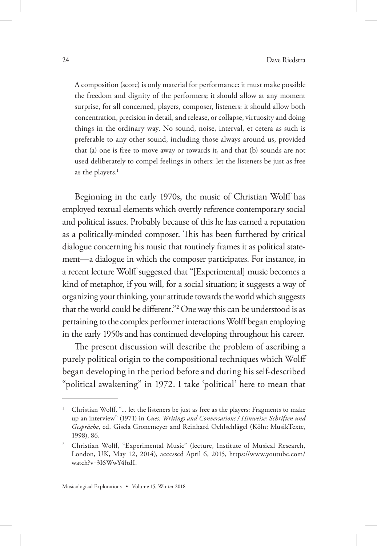A composition (score) is only material for performance: it must make possible the freedom and dignity of the performers; it should allow at any moment surprise, for all concerned, players, composer, listeners: it should allow both concentration, precision in detail, and release, or collapse, virtuosity and doing things in the ordinary way. No sound, noise, interval, et cetera as such is preferable to any other sound, including those always around us, provided that (a) one is free to move away or towards it, and that (b) sounds are not used deliberately to compel feelings in others: let the listeners be just as free as the players. $<sup>1</sup>$ </sup>

Beginning in the early 1970s, the music of Christian Wolff has employed textual elements which overtly reference contemporary social and political issues. Probably because of this he has earned a reputation as a politically-minded composer. This has been furthered by critical dialogue concerning his music that routinely frames it as political statement—a dialogue in which the composer participates. For instance, in a recent lecture Wolff suggested that "[Experimental] music becomes a kind of metaphor, if you will, for a social situation; it suggests a way of organizing your thinking, your attitude towards the world which suggests that the world could be different."2 One way this can be understood is as pertaining to the complex performer interactions Wolff began employing in the early 1950s and has continued developing throughout his career.

The present discussion will describe the problem of ascribing a purely political origin to the compositional techniques which Wolff began developing in the period before and during his self-described "political awakening" in 1972. I take 'political' here to mean that

<sup>1</sup> Christian Wolff, "... let the listeners be just as free as the players: Fragments to make up an interview" (1971) in *Cues: Writings and Conversations / Hinweise: Schriften und Gespräche*, ed. Gisela Gronemeyer and Reinhard Oehlschlägel (Köln: MusikTexte, 1998), 86.

<sup>&</sup>lt;sup>2</sup> Christian Wolff, "Experimental Music" (lecture, Institute of Musical Research, London, UK, May 12, 2014), accessed April 6, 2015, https://www.youtube.com/ watch?v=3I6WwY4ftdI.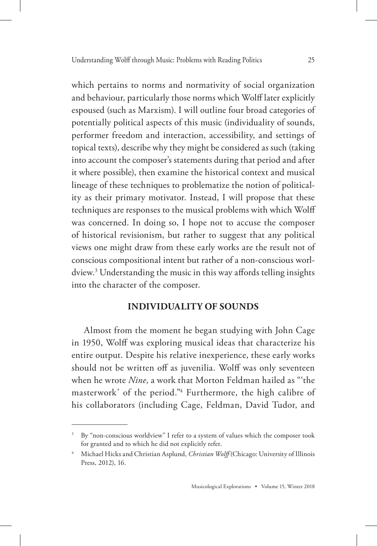which pertains to norms and normativity of social organization and behaviour, particularly those norms which Wolff later explicitly espoused (such as Marxism). I will outline four broad categories of potentially political aspects of this music (individuality of sounds, performer freedom and interaction, accessibility, and settings of topical texts), describe why they might be considered as such (taking into account the composer's statements during that period and after it where possible), then examine the historical context and musical lineage of these techniques to problematize the notion of politicality as their primary motivator. Instead, I will propose that these techniques are responses to the musical problems with which Wolff was concerned. In doing so, I hope not to accuse the composer of historical revisionism, but rather to suggest that any political views one might draw from these early works are the result not of conscious compositional intent but rather of a non-conscious worldview.3 Understanding the music in this way affords telling insights into the character of the composer.

#### **INDIVIDUALITY OF SOUNDS**

Almost from the moment he began studying with John Cage in 1950, Wolff was exploring musical ideas that characterize his entire output. Despite his relative inexperience, these early works should not be written off as juvenilia. Wolff was only seventeen when he wrote *Nine*, a work that Morton Feldman hailed as "'the masterwork' of the period."4 Furthermore, the high calibre of his collaborators (including Cage, Feldman, David Tudor, and

By "non-conscious worldview" I refer to a system of values which the composer took for granted and to which he did not explicitly refer.

<sup>4</sup> Michael Hicks and Christian Asplund, *Christian Wolff* (Chicago: University of Illinois Press, 2012), 16.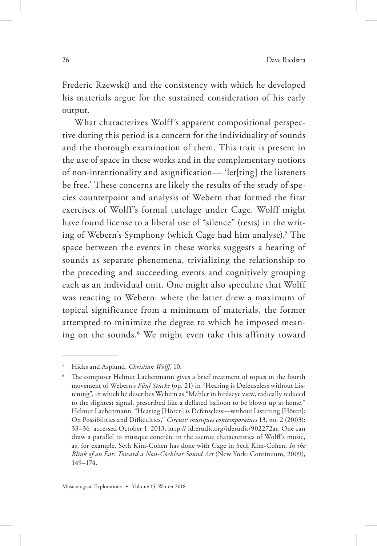Frederic Rzewski) and the consistency with which he developed his materials argue for the sustained consideration of his early output.

What characterizes Wolff's apparent compositional perspective during this period is a concern for the individuality of sounds and the thorough examination of them. This trait is present in the use of space in these works and in the complementary notions of non-intentionality and asignification— 'let[ting] the listeners be free.' These concerns are likely the results of the study of species counterpoint and analysis of Webern that formed the first exercises of Wolff's formal tutelage under Cage. Wolff might have found license to a liberal use of "silence" (rests) in the writing of Webern's Symphony (which Cage had him analyse).5 The space between the events in these works suggests a hearing of sounds as separate phenomena, trivializing the relationship to the preceding and succeeding events and cognitively grouping each as an individual unit. One might also speculate that Wolff was reacting to Webern: where the latter drew a maximum of topical significance from a minimum of materials, the former attempted to minimize the degree to which he imposed meaning on the sounds.6 We might even take this affinity toward

<sup>5</sup> Hicks and Asplund, *Christian Wolff*, 10.

The composer Helmut Lachenmann gives a brief treatment of topics in the fourth movement of Webern's *Fünf Stücke* (op. 21) in "Hearing is Defenseless without Listening", in which he describes Webern as "Mahler in birdseye view, radically reduced to the slightest signal, prescribed like a deflated balloon to be blown up at home." Helmut Lachenmann, "Hearing [Hören] is Defenseless—without Listening [Hören]: On Possibilities and Difficulties," *Circuit: musiques contemporaines* 13, no. 2 (2003): 33–36, accessed October 1, 2013, http:// id.erudit.org/iderudit/902272ar. One can draw a parallel to musique concrète in the asemic characterstics of Wolff's music, as, for example, Seth Kim-Cohen has done with Cage in Seth Kim-Cohen, *In the Blink of an Ear: Toward a Non-Cochlear Sound Art* (New York: Continuum, 2009), 149–174.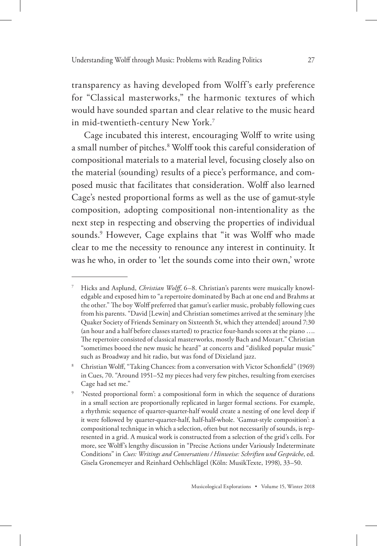transparency as having developed from Wolff's early preference for "Classical masterworks," the harmonic textures of which would have sounded spartan and clear relative to the music heard in mid-twentieth-century New York.7

Cage incubated this interest, encouraging Wolff to write using a small number of pitches.<sup>8</sup> Wolff took this careful consideration of compositional materials to a material level, focusing closely also on the material (sounding) results of a piece's performance, and composed music that facilitates that consideration. Wolff also learned Cage's nested proportional forms as well as the use of gamut-style composition, adopting compositional non-intentionality as the next step in respecting and observing the properties of individual sounds.9 However, Cage explains that "it was Wolff who made clear to me the necessity to renounce any interest in continuity. It was he who, in order to 'let the sounds come into their own,' wrote

<sup>7</sup> Hicks and Asplund, *Christian Wolff*, 6–8. Christian's parents were musically knowledgable and exposed him to "a repertoire dominated by Bach at one end and Brahms at the other." The boy Wolff preferred that gamut's earlier music, probably following cues from his parents. "David [Lewin] and Christian sometimes arrived at the seminary [the Quaker Society of Friends Seminary on Sixteenth St, which they attended] around 7:30 (an hour and a half before classes started) to practice four-hands scores at the piano …. The repertoire consisted of classical masterworks, mostly Bach and Mozart." Christian "sometimes booed the new music he heard" at concerts and "disliked popular music" such as Broadway and hit radio, but was fond of Dixieland jazz.

<sup>8</sup> Christian Wolff, "Taking Chances: from a conversation with Victor Schonfield" (1969) in Cues, 70. "Around 1951–52 my pieces had very few pitches, resulting from exercises Cage had set me."

<sup>&#</sup>x27;Nested proportional form': a compositional form in which the sequence of durations in a small section are proportionally replicated in larger formal sections. For example, a rhythmic sequence of quarter-quarter-half would create a nesting of one level deep if it were followed by quarter-quarter-half, half-half-whole. 'Gamut-style composition': a compositional technique in which a selection, often but not necessarily of sounds, is represented in a grid. A musical work is constructed from a selection of the grid's cells. For more, see Wolff's lengthy discussion in "Precise Actions under Variously Indeterminate Conditions" in *Cues: Writings and Conversations / Hinweise: Schriften und Gespräche*, ed. Gisela Gronemeyer and Reinhard Oehlschlägel (Köln: MusikTexte, 1998), 33–50.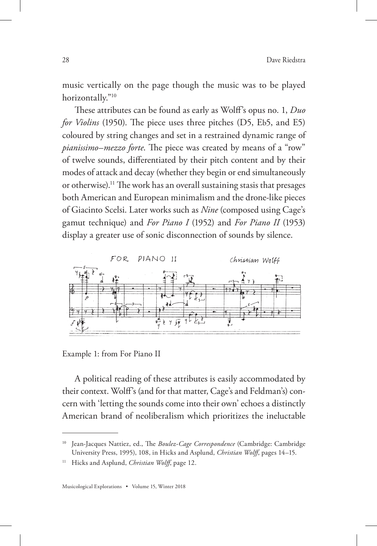music vertically on the page though the music was to be played horizontally."10

These attributes can be found as early as Wolff's opus no. 1, *Duo for Violins* (1950). The piece uses three pitches (D5, Eb5, and E5) coloured by string changes and set in a restrained dynamic range of *pianissimo*–*mezzo forte*. The piece was created by means of a "row" of twelve sounds, differentiated by their pitch content and by their modes of attack and decay (whether they begin or end simultaneously or otherwise).11 The work has an overall sustaining stasis that presages both American and European minimalism and the drone-like pieces of Giacinto Scelsi. Later works such as *Nine* (composed using Cage's gamut technique) and *For Piano I* (1952) and *For Piano II* (1953) display a greater use of sonic disconnection of sounds by silence.



Example 1: from For Piano II

A political reading of these attributes is easily accommodated by their context. Wolff's (and for that matter, Cage's and Feldman's) concern with 'letting the sounds come into their own' echoes a distinctly American brand of neoliberalism which prioritizes the ineluctable

Jean-Jacques Nattiez, ed., The *Boulez-Cage Correspondence* (Cambridge: Cambridge University Press, 1995), 108, in Hicks and Asplund, *Christian Wolff*, pages 14–15.

<sup>&</sup>lt;sup>11</sup> Hicks and Asplund, *Christian Wolff*, page 12.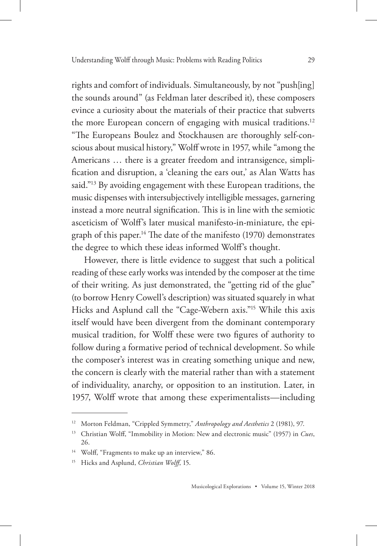rights and comfort of individuals. Simultaneously, by not "push[ing] the sounds around" (as Feldman later described it), these composers evince a curiosity about the materials of their practice that subverts the more European concern of engaging with musical traditions.<sup>12</sup> "The Europeans Boulez and Stockhausen are thoroughly self-conscious about musical history," Wolff wrote in 1957, while "among the Americans … there is a greater freedom and intransigence, simplification and disruption, a 'cleaning the ears out,' as Alan Watts has said."<sup>13</sup> By avoiding engagement with these European traditions, the music dispenses with intersubjectively intelligible messages, garnering instead a more neutral signification. This is in line with the semiotic asceticism of Wolff's later musical manifesto-in-miniature, the epigraph of this paper.<sup>14</sup> The date of the manifesto  $(1970)$  demonstrates the degree to which these ideas informed Wolff's thought.

However, there is little evidence to suggest that such a political reading of these early works was intended by the composer at the time of their writing. As just demonstrated, the "getting rid of the glue" (to borrow Henry Cowell's description) was situated squarely in what Hicks and Asplund call the "Cage-Webern axis."15 While this axis itself would have been divergent from the dominant contemporary musical tradition, for Wolff these were two figures of authority to follow during a formative period of technical development. So while the composer's interest was in creating something unique and new, the concern is clearly with the material rather than with a statement of individuality, anarchy, or opposition to an institution. Later, in 1957, Wolff wrote that among these experimentalists—including

<sup>12</sup> Morton Feldman, "Crippled Symmetry," *Anthropology and Aesthetics* 2 (1981), 97.

<sup>13</sup> Christian Wolff, "Immobility in Motion: New and electronic music" (1957) in *Cues*, 26.

<sup>&</sup>lt;sup>14</sup> Wolff, "Fragments to make up an interview," 86.

<sup>15</sup> Hicks and Asplund, *Christian Wolff*, 15.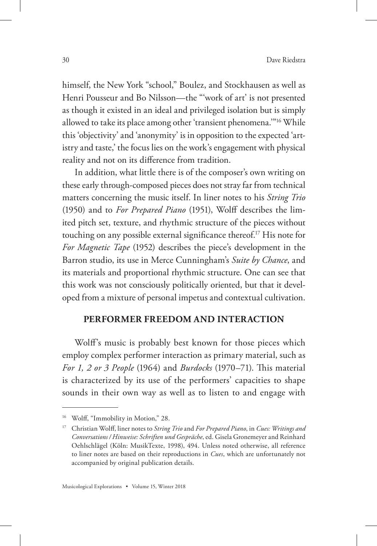himself, the New York "school," Boulez, and Stockhausen as well as Henri Pousseur and Bo Nilsson—the "'work of art' is not presented as though it existed in an ideal and privileged isolation but is simply allowed to take its place among other 'transient phenomena.'"16 While this 'objectivity' and 'anonymity' is in opposition to the expected 'artistry and taste,' the focus lies on the work's engagement with physical reality and not on its difference from tradition.

In addition, what little there is of the composer's own writing on these early through-composed pieces does not stray far from technical matters concerning the music itself. In liner notes to his *String Trio* (1950) and to *For Prepared Piano* (1951), Wolff describes the limited pitch set, texture, and rhythmic structure of the pieces without touching on any possible external significance thereof.17 His note for *For Magnetic Tape* (1952) describes the piece's development in the Barron studio, its use in Merce Cunningham's *Suite by Chance*, and its materials and proportional rhythmic structure. One can see that this work was not consciously politically oriented, but that it developed from a mixture of personal impetus and contextual cultivation.

#### **PERFORMER FREEDOM AND INTERACTION**

Wolff's music is probably best known for those pieces which employ complex performer interaction as primary material, such as *For 1, 2 or 3 People* (1964) and *Burdocks* (1970–71). This material is characterized by its use of the performers' capacities to shape sounds in their own way as well as to listen to and engage with

<sup>&</sup>lt;sup>16</sup> Wolff, "Immobility in Motion," 28.

<sup>17</sup> Christian Wolff, liner notes to *String Trio* and *For Prepared Piano*, in *Cues: Writings and Conversations / Hinweise: Schriften und Gespräche*, ed. Gisela Gronemeyer and Reinhard Oehlschlägel (Köln: MusikTexte, 1998), 494. Unless noted otherwise, all reference to liner notes are based on their reproductions in *Cues*, which are unfortunately not accompanied by original publication details.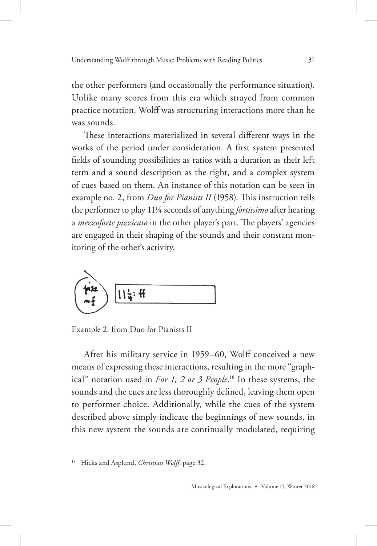the other performers (and occasionally the performance situation). Unlike many scores from this era which strayed from common practice notation, Wolff was structuring interactions more than he was sounds.

These interactions materialized in several different ways in the works of the period under consideration. A first system presented fields of sounding possibilities as ratios with a duration as their left term and a sound description as the right, and a complex system of cues based on them. An instance of this notation can be seen in example no. 2, from *Duo for Pianists II* (1958). This instruction tells the performer to play 11¼ seconds of anything *fortissimo* after hearing a *mezzoforte pizzicato* in the other player's part. The players' agencies are engaged in their shaping of the sounds and their constant monitoring of the other's activity.



Example 2: from Duo for Pianists II

After his military service in 1959–60, Wolff conceived a new means of expressing these interactions, resulting in the more "graphical" notation used in *For 1, 2 or 3 People*. 18 In these systems, the sounds and the cues are less thoroughly defined, leaving them open to performer choice. Additionally, while the cues of the system described above simply indicate the beginnings of new sounds, in this new system the sounds are continually modulated, requiring

<sup>18</sup> Hicks and Asplund, *Christian Wolff*, page 32.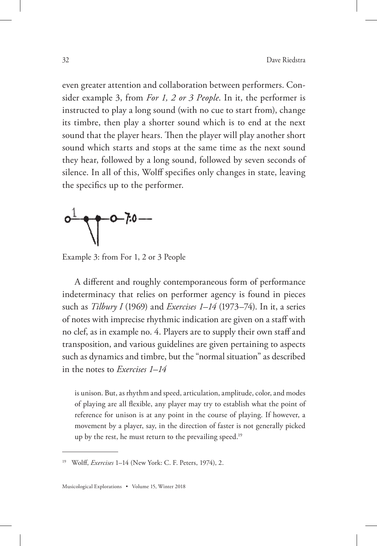even greater attention and collaboration between performers. Consider example 3, from *For 1, 2 or 3 People*. In it, the performer is instructed to play a long sound (with no cue to start from), change its timbre, then play a shorter sound which is to end at the next sound that the player hears. Then the player will play another short sound which starts and stops at the same time as the next sound they hear, followed by a long sound, followed by seven seconds of silence. In all of this, Wolff specifies only changes in state, leaving the specifics up to the performer.



Example 3: from For 1, 2 or 3 People

A different and roughly contemporaneous form of performance indeterminacy that relies on performer agency is found in pieces such as *Tilbury I* (1969) and *Exercises 1–14* (1973–74). In it, a series of notes with imprecise rhythmic indication are given on a staff with no clef, as in example no. 4. Players are to supply their own staff and transposition, and various guidelines are given pertaining to aspects such as dynamics and timbre, but the "normal situation" as described in the notes to *Exercises 1–14*

is unison. But, as rhythm and speed, articulation, amplitude, color, and modes of playing are all flexible, any player may try to establish what the point of reference for unison is at any point in the course of playing. If however, a movement by a player, say, in the direction of faster is not generally picked up by the rest, he must return to the prevailing speed.<sup>19</sup>

<sup>19</sup> Wolff, *Exercises* 1–14 (New York: C. F. Peters, 1974), 2.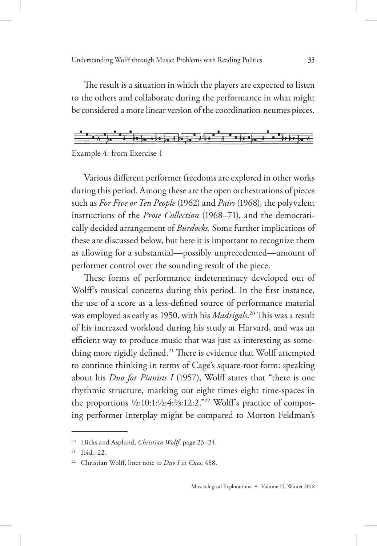The result is a situation in which the players are expected to listen to the others and collaborate during the performance in what might be considered a more linear version of the coordination-neumes pieces.



Example 4: from Exercise 1

Various different performer freedoms are explored in other works during this period. Among these are the open orchestrations of pieces such as *For Five or Ten People* (1962) and *Pairs* (1968), the polyvalent instructions of the *Prose Collection* (1968–71), and the democratically decided arrangement of *Burdocks*. Some further implications of these are discussed below, but here it is important to recognize them as allowing for a substantial—possibly unprecedented—amount of performer control over the sounding result of the piece.

These forms of performance indeterminacy developed out of Wolff's musical concerns during this period. In the first instance, the use of a score as a less-defined source of performance material was employed as early as 1950, with his *Madrigals*. 20 This was a result of his increased workload during his study at Harvard, and was an efficient way to produce music that was just as interesting as something more rigidly defined.<sup>21</sup> There is evidence that Wolff attempted to continue thinking in terms of Cage's square-root form: speaking about his *Duo for Pianists I* (1957), Wolff states that "there is one rhythmic structure, marking out eight times eight time-spaces in the proportions ½:10:1:½:4:⅔:12:2."22 Wolff's practice of composing performer interplay might be compared to Morton Feldman's

<sup>20</sup> Hicks and Asplund, *Christian Wolff*, page 23–24.

<sup>21</sup> Ibid., 22.

<sup>22</sup> Christian Wolff, liner note to *Duo I* in *Cues*, 488.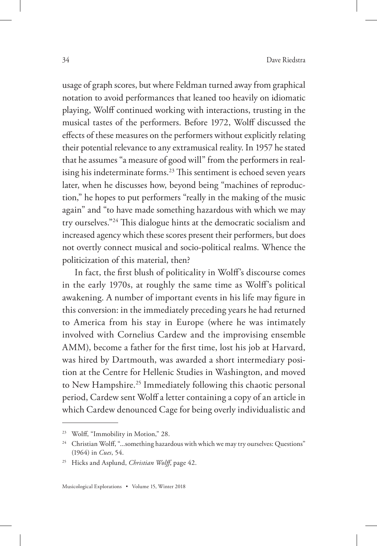usage of graph scores, but where Feldman turned away from graphical notation to avoid performances that leaned too heavily on idiomatic playing, Wolff continued working with interactions, trusting in the musical tastes of the performers. Before 1972, Wolff discussed the effects of these measures on the performers without explicitly relating their potential relevance to any extramusical reality. In 1957 he stated that he assumes "a measure of good will" from the performers in realising his indeterminate forms.<sup>23</sup> This sentiment is echoed seven years later, when he discusses how, beyond being "machines of reproduction," he hopes to put performers "really in the making of the music again" and "to have made something hazardous with which we may try ourselves."24 This dialogue hints at the democratic socialism and increased agency which these scores present their performers, but does not overtly connect musical and socio-political realms. Whence the politicization of this material, then?

In fact, the first blush of politicality in Wolff's discourse comes in the early 1970s, at roughly the same time as Wolff's political awakening. A number of important events in his life may figure in this conversion: in the immediately preceding years he had returned to America from his stay in Europe (where he was intimately involved with Cornelius Cardew and the improvising ensemble AMM), become a father for the first time, lost his job at Harvard, was hired by Dartmouth, was awarded a short intermediary position at the Centre for Hellenic Studies in Washington, and moved to New Hampshire.<sup>25</sup> Immediately following this chaotic personal period, Cardew sent Wolff a letter containing a copy of an article in which Cardew denounced Cage for being overly individualistic and

<sup>&</sup>lt;sup>23</sup> Wolff, "Immobility in Motion," 28.

<sup>&</sup>lt;sup>24</sup> Christian Wolff, "...something hazardous with which we may try ourselves: Questions" (1964) in *Cues*, 54.

<sup>25</sup> Hicks and Asplund, *Christian Wolff*, page 42.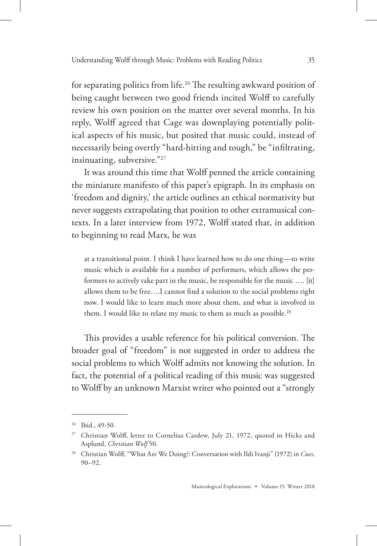for separating politics from life.26 The resulting awkward position of being caught between two good friends incited Wolff to carefully review his own position on the matter over several months. In his reply, Wolff agreed that Cage was downplaying potentially political aspects of his music, but posited that music could, instead of necessarily being overtly "hard-hitting and tough," be "infiltrating, insinuating, subversive."27

It was around this time that Wolff penned the article containing the miniature manifesto of this paper's epigraph. In its emphasis on 'freedom and dignity,' the article outlines an ethical normativity but never suggests extrapolating that position to other extramusical contexts. In a later interview from 1972, Wolff stated that, in addition to beginning to read Marx, he was

at a transitional point. I think I have learned how to do one thing—to write music which is available for a number of performers, which allows the performers to actively take part in the music, be responsible for the music …. [it] allows them to be free….I cannot find a solution to the social problems right now. I would like to learn much more about them, and what is involved in them. I would like to relate my music to them as much as possible.<sup>28</sup>

This provides a usable reference for his political conversion. The broader goal of "freedom" is not suggested in order to address the social problems to which Wolff admits not knowing the solution. In fact, the potential of a political reading of this music was suggested to Wolff by an unknown Marxist writer who pointed out a "strongly

<sup>26</sup> Ibid., 49-50.

<sup>&</sup>lt;sup>27</sup> Christian Wolff, letter to Cornelius Cardew, July 21, 1972, quoted in Hicks and Asplund, *Christian Wolf* 50.

<sup>28</sup> Christian Wolff, "What Are We Doing?: Conversation with Ildi Ivanji" (1972) in *Cues*, 90–92.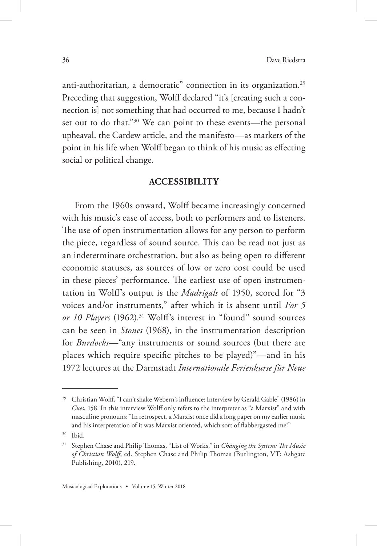anti-authoritarian, a democratic" connection in its organization.<sup>29</sup> Preceding that suggestion, Wolff declared "it's [creating such a connection is] not something that had occurred to me, because I hadn't set out to do that."30 We can point to these events—the personal upheaval, the Cardew article, and the manifesto—as markers of the point in his life when Wolff began to think of his music as effecting social or political change.

#### **ACCESSIBILITY**

From the 1960s onward, Wolff became increasingly concerned with his music's ease of access, both to performers and to listeners. The use of open instrumentation allows for any person to perform the piece, regardless of sound source. This can be read not just as an indeterminate orchestration, but also as being open to different economic statuses, as sources of low or zero cost could be used in these pieces' performance. The earliest use of open instrumentation in Wolff's output is the *Madrigals* of 1950, scored for "3 voices and/or instruments," after which it is absent until *For 5 or 10 Players* (1962).31 Wolff's interest in "found" sound sources can be seen in *Stones* (1968), in the instrumentation description for *Burdocks*—"any instruments or sound sources (but there are places which require specific pitches to be played)"—and in his 1972 lectures at the Darmstadt *Internationale Ferienkurse für Neue* 

<sup>&</sup>lt;sup>29</sup> Christian Wolff, "I can't shake Webern's influence: Interview by Gerald Gable" (1986) in *Cues*, 158. In this interview Wolff only refers to the interpreter as "a Marxist" and with masculine pronouns: "In retrospect, a Marxist once did a long paper on my earlier music and his interpretation of it was Marxist oriented, which sort of flabbergasted me!"

<sup>30</sup> Ibid.

<sup>31</sup> Stephen Chase and Philip Thomas, "List of Works," in *Changing the System: The Music of Christian Wolff*, ed. Stephen Chase and Philip Thomas (Burlington, VT: Ashgate Publishing, 2010), 219.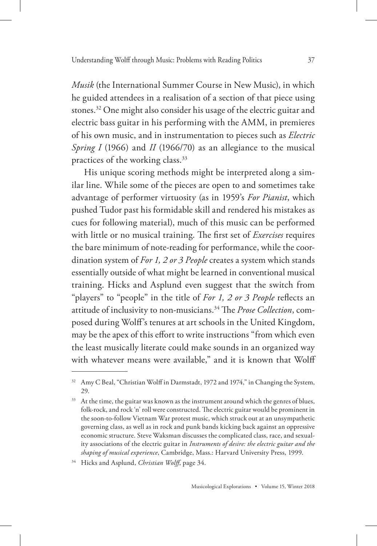*Musik* (the International Summer Course in New Music), in which he guided attendees in a realisation of a section of that piece using stones.32 One might also consider his usage of the electric guitar and electric bass guitar in his performing with the AMM, in premieres of his own music, and in instrumentation to pieces such as *Electric Spring I* (1966) and *II* (1966/70) as an allegiance to the musical practices of the working class.<sup>33</sup>

His unique scoring methods might be interpreted along a similar line. While some of the pieces are open to and sometimes take advantage of performer virtuosity (as in 1959's *For Pianist*, which pushed Tudor past his formidable skill and rendered his mistakes as cues for following material), much of this music can be performed with little or no musical training. The first set of *Exercises* requires the bare minimum of note-reading for performance, while the coordination system of *For 1, 2 or 3 People* creates a system which stands essentially outside of what might be learned in conventional musical training. Hicks and Asplund even suggest that the switch from "players" to "people" in the title of *For 1, 2 or 3 People* reflects an attitude of inclusivity to non-musicians.34 The *Prose Collection*, composed during Wolff's tenures at art schools in the United Kingdom, may be the apex of this effort to write instructions "from which even the least musically literate could make sounds in an organized way with whatever means were available," and it is known that Wolff

<sup>&</sup>lt;sup>32</sup> Amy C Beal, "Christian Wolff in Darmstadt, 1972 and 1974," in Changing the System, 29.

<sup>&</sup>lt;sup>33</sup> At the time, the guitar was known as the instrument around which the genres of blues, folk-rock, and rock 'n' roll were constructed. The electric guitar would be prominent in the soon-to-follow Vietnam War protest music, which struck out at an unsympathetic governing class, as well as in rock and punk bands kicking back against an oppressive economic structure. Steve Waksman discusses the complicated class, race, and sexuality associations of the electric guitar in *Instruments of desire: the electric guitar and the shaping of musical experience*, Cambridge, Mass.: Harvard University Press, 1999.

<sup>34</sup> Hicks and Asplund, *Christian Wolff*, page 34.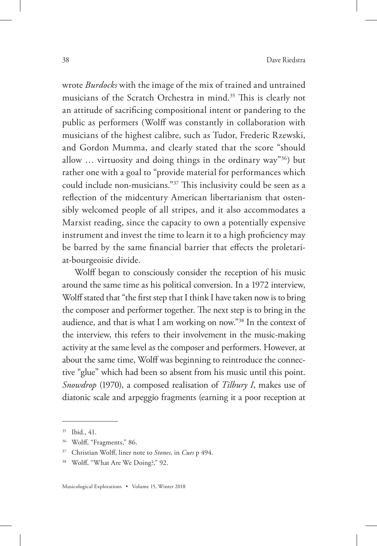wrote *Burdocks* with the image of the mix of trained and untrained musicians of the Scratch Orchestra in mind.35 This is clearly not an attitude of sacrificing compositional intent or pandering to the public as performers (Wolff was constantly in collaboration with musicians of the highest calibre, such as Tudor, Frederic Rzewski, and Gordon Mumma, and clearly stated that the score "should allow  $\ldots$  virtuosity and doing things in the ordinary way"<sup>36</sup>) but rather one with a goal to "provide material for performances which could include non-musicians."37 This inclusivity could be seen as a reflection of the midcentury American libertarianism that ostensibly welcomed people of all stripes, and it also accommodates a Marxist reading, since the capacity to own a potentially expensive instrument and invest the time to learn it to a high proficiency may be barred by the same financial barrier that effects the proletariat-bourgeoisie divide.

Wolff began to consciously consider the reception of his music around the same time as his political conversion. In a 1972 interview, Wolff stated that "the first step that I think I have taken now is to bring the composer and performer together. The next step is to bring in the audience, and that is what I am working on now."38 In the context of the interview, this refers to their involvement in the music-making activity at the same level as the composer and performers. However, at about the same time, Wolff was beginning to reintroduce the connective "glue" which had been so absent from his music until this point. *Snowdrop* (1970), a composed realisation of *Tilbury I*, makes use of diatonic scale and arpeggio fragments (earning it a poor reception at

<sup>35</sup> Ibid., 41.

<sup>36</sup> Wolff, "Fragments," 86.

<sup>37</sup> Christian Wolff, liner note to *Stones*, in *Cues* p 494.

<sup>38</sup> Wolff, "What Are We Doing?," 92.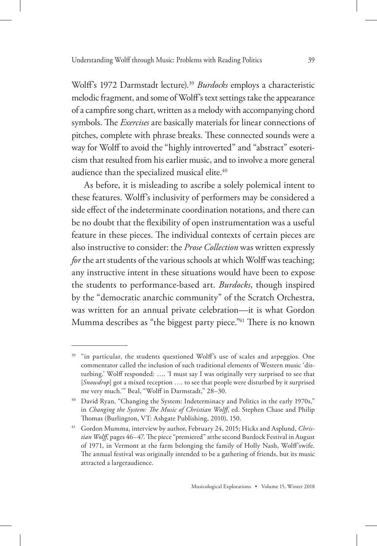Wolff's 1972 Darmstadt lecture).39 *Burdocks* employs a characteristic melodic fragment, and some of Wolff's text settings take the appearance of a campfire song chart, written as a melody with accompanying chord symbols. The *Exercises* are basically materials for linear connections of pitches, complete with phrase breaks. These connected sounds were a way for Wolff to avoid the "highly introverted" and "abstract" esotericism that resulted from his earlier music, and to involve a more general audience than the specialized musical elite.<sup>40</sup>

As before, it is misleading to ascribe a solely polemical intent to these features. Wolff's inclusivity of performers may be considered a side effect of the indeterminate coordination notations, and there can be no doubt that the flexibility of open instrumentation was a useful feature in these pieces. The individual contexts of certain pieces are also instructive to consider: the *Prose Collection* was written expressly *for* the art students of the various schools at which Wolff was teaching; any instructive intent in these situations would have been to expose the students to performance-based art. *Burdocks*, though inspired by the "democratic anarchic community" of the Scratch Orchestra, was written for an annual private celebration—it is what Gordon Mumma describes as "the biggest party piece."<sup>41</sup> There is no known

<sup>&</sup>lt;sup>39</sup> "in particular, the students questioned Wolff's use of scales and arpeggios. One commentator called the inclusion of such traditional elements of Western music 'disturbing.' Wolff responded: …. 'I must say I was originally very surprised to see that [*Snowdrop*] got a mixed reception …. to see that people were disturbed by it surprised me very much.'" Beal, "Wolff in Darmstadt," 28–30.

<sup>&</sup>lt;sup>40</sup> David Ryan, "Changing the System: Indeterminacy and Politics in the early 1970s," in *Changing the System: The Music of Christian Wolff*, ed. Stephen Chase and Philip Thomas (Burlington, VT: Ashgate Publishing, 2010), 150.

<sup>41</sup> Gordon Mumma, interview by author, February 24, 2015; Hicks and Asplund, *Christian Wolff*, pages 46–47. The piece "premiered" atthe second Burdock Festival in August of 1971, in Vermont at the farm belonging the family of Holly Nash, Wolff'swife. The annual festival was originally intended to be a gathering of friends, but its music attracted a largeraudience.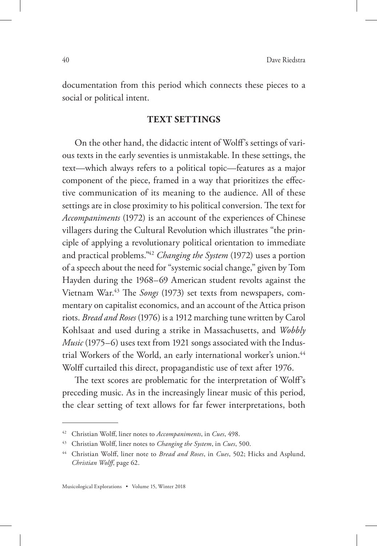documentation from this period which connects these pieces to a social or political intent.

#### **TEXT SETTINGS**

On the other hand, the didactic intent of Wolff's settings of various texts in the early seventies is unmistakable. In these settings, the text—which always refers to a political topic—features as a major component of the piece, framed in a way that prioritizes the effective communication of its meaning to the audience. All of these settings are in close proximity to his political conversion. The text for *Accompaniments* (1972) is an account of the experiences of Chinese villagers during the Cultural Revolution which illustrates "the principle of applying a revolutionary political orientation to immediate and practical problems."42 *Changing the System* (1972) uses a portion of a speech about the need for "systemic social change," given by Tom Hayden during the 1968–69 American student revolts against the Vietnam War.43 The *Songs* (1973) set texts from newspapers, commentary on capitalist economics, and an account of the Attica prison riots. *Bread and Roses* (1976) is a 1912 marching tune written by Carol Kohlsaat and used during a strike in Massachusetts, and *Wobbly Music* (1975–6) uses text from 1921 songs associated with the Industrial Workers of the World, an early international worker's union.<sup>44</sup> Wolff curtailed this direct, propagandistic use of text after 1976.

The text scores are problematic for the interpretation of Wolff's preceding music. As in the increasingly linear music of this period, the clear setting of text allows for far fewer interpretations, both

<sup>42</sup> Christian Wolff, liner notes to *Accompaniments*, in *Cues*, 498.

<sup>43</sup> Christian Wolff, liner notes to *Changing the System*, in *Cues*, 500.

<sup>44</sup> Christian Wolff, liner note to *Bread and Roses*, in *Cues*, 502; Hicks and Asplund, *Christian Wolff*, page 62.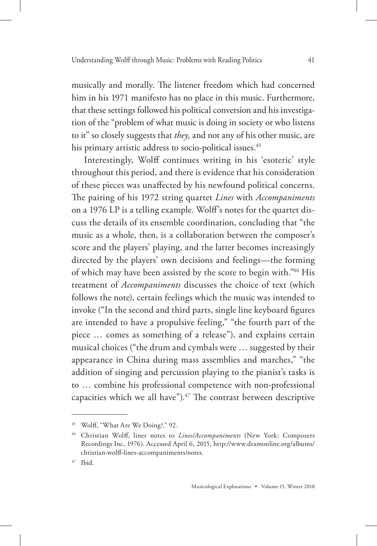musically and morally. The listener freedom which had concerned him in his 1971 manifesto has no place in this music. Furthermore, that these settings followed his political conversion and his investigation of the "problem of what music is doing in society or who listens to it" so closely suggests that *they,* and not any of his other music, are his primary artistic address to socio-political issues.<sup>45</sup>

Interestingly, Wolff continues writing in his 'esoteric' style throughout this period, and there is evidence that his consideration of these pieces was unaffected by his newfound political concerns. The pairing of his 1972 string quartet *Lines* with *Accompaniments*  on a 1976 LP is a telling example. Wolff's notes for the quartet discuss the details of its ensemble coordination, concluding that "the music as a whole, then, is a collaboration between the composer's score and the players' playing, and the latter becomes increasingly directed by the players' own decisions and feelings—the forming of which may have been assisted by the score to begin with."46 His treatment of *Accompaniments* discusses the choice of text (which follows the note), certain feelings which the music was intended to invoke ("In the second and third parts, single line keyboard figures are intended to have a propulsive feeling," "the fourth part of the piece … comes as something of a release"), and explains certain musical choices ("the drum and cymbals were … suggested by their appearance in China during mass assemblies and marches," "the addition of singing and percussion playing to the pianist's tasks is to … combine his professional competence with non-professional capacities which we all have"). $47$  The contrast between descriptive

<sup>45</sup> Wolff, "What Are We Doing?," 92.

<sup>46</sup> Christian Wolff, liner notes to *Lines/Accompaniments* (New York: Composers Recordings Inc, 1976). Accessed April 6, 2015, http://www.dramonline.org/albums/ christian-wolff-lines-accompaniments/notes.

<sup>47</sup> Ibid.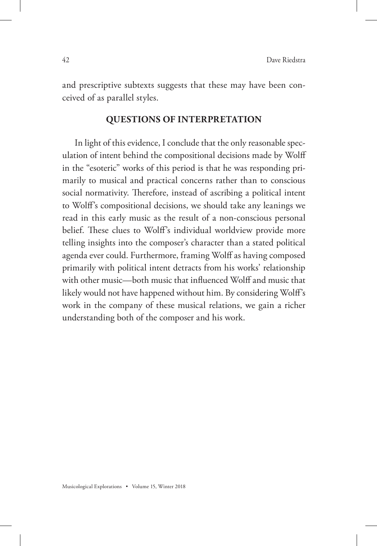and prescriptive subtexts suggests that these may have been conceived of as parallel styles.

#### **QUESTIONS OF INTERPRETATION**

In light of this evidence, I conclude that the only reasonable speculation of intent behind the compositional decisions made by Wolff in the "esoteric" works of this period is that he was responding primarily to musical and practical concerns rather than to conscious social normativity. Therefore, instead of ascribing a political intent to Wolff's compositional decisions, we should take any leanings we read in this early music as the result of a non-conscious personal belief. These clues to Wolff's individual worldview provide more telling insights into the composer's character than a stated political agenda ever could. Furthermore, framing Wolff as having composed primarily with political intent detracts from his works' relationship with other music—both music that influenced Wolff and music that likely would not have happened without him. By considering Wolff's work in the company of these musical relations, we gain a richer understanding both of the composer and his work.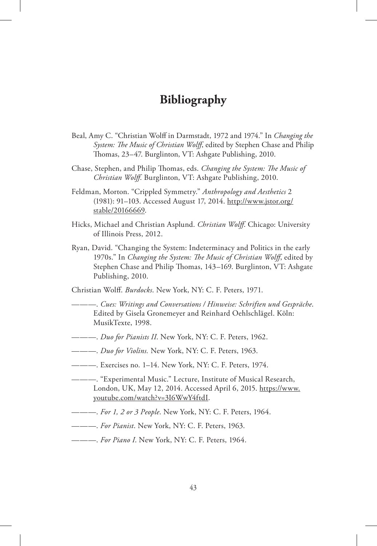## **Bibliography**

- Beal, Amy C. "Christian Wolff in Darmstadt, 1972 and 1974." In *Changing the System: The Music of Christian Wolff*, edited by Stephen Chase and Philip Thomas, 23–47. Burglinton, VT: Ashgate Publishing, 2010.
- Chase, Stephen, and Philip Thomas, eds. *Changing the System: The Music of Christian Wolff*. Burglinton, VT: Ashgate Publishing, 2010.
- Feldman, Morton. "Crippled Symmetry." *Anthropology and Aesthetics* 2 (1981): 91–103. Accessed August 17, 2014. http://www.jstor.org/ stable/20166669.
- Hicks, Michael and Christian Asplund. *Christian Wolff*. Chicago: University of Illinois Press, 2012.
- Ryan, David. "Changing the System: Indeterminacy and Politics in the early 1970s." In *Changing the System: The Music of Christian Wolff*, edited by Stephen Chase and Philip Thomas, 143–169. Burglinton, VT: Ashgate Publishing, 2010.

Christian Wolff. *Burdocks*. New York, NY: C. F. Peters, 1971.

- ———. *Cues: Writings and Conversations / Hinweise: Schriften und Gespräche*. Edited by Gisela Gronemeyer and Reinhard Oehlschlägel. Köln: MusikTexte, 1998.
- ———. *Duo for Pianists II*. New York, NY: C. F. Peters, 1962.
- ———. *Duo for Violins.* New York, NY: C. F. Peters, 1963.
- ———. Exercises no. 1–14. New York, NY: C. F. Peters, 1974.
- ———. "Experimental Music." Lecture, Institute of Musical Research, London, UK, May 12, 2014. Accessed April 6, 2015. https://www. youtube.com/watch?v=3I6WwY4ftdI.
- ———. *For 1, 2 or 3 People*. New York, NY: C. F. Peters, 1964.
- ———. *For Pianist*. New York, NY: C. F. Peters, 1963.
- ———. *For Piano I*. New York, NY: C. F. Peters, 1964.